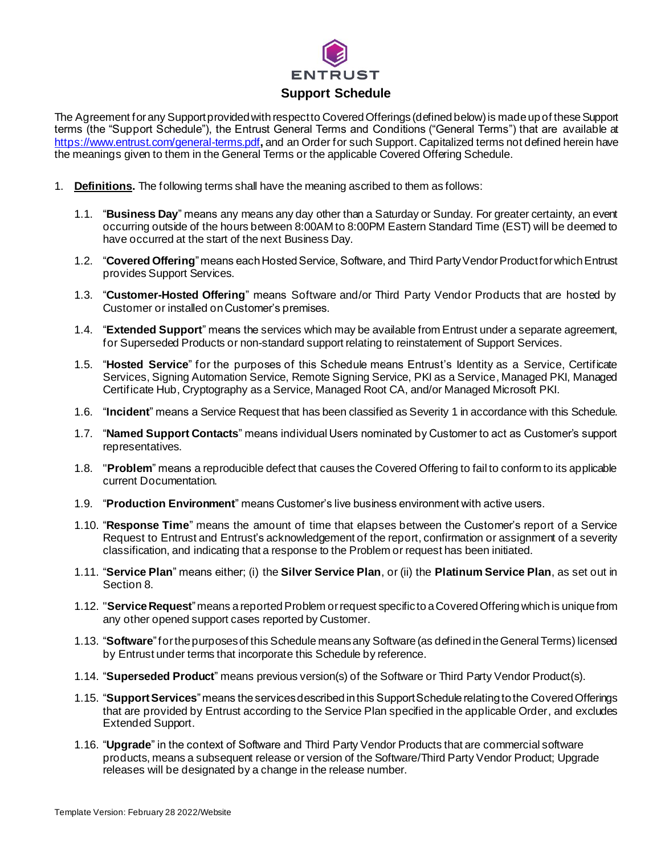

The Agreement for any Support provided with respect to Covered Offerings (defined below) is made up of these Support terms (the "Support Schedule"), the Entrust General Terms and Conditions ("General Terms") that are available at <https://www.entrust.com/general-terms.pdf>**,** and an Order for such Support. Capitalized terms not defined herein have the meanings given to them in the General Terms or the applicable Covered Offering Schedule.

- 1. **Definitions.** The following terms shall have the meaning ascribed to them as follows:
	- 1.1. "**Business Day**" means any means any day other than a Saturday or Sunday. For greater certainty, an event occurring outside of the hours between 8:00AM to 8:00PM Eastern Standard Time (EST) will be deemed to have occurred at the start of the next Business Day.
	- 1.2. "**Covered Offering**" means each Hosted Service, Software, and Third Party Vendor Productfor which Entrust provides Support Services.
	- 1.3. "**Customer-Hosted Offering**" means Software and/or Third Party Vendor Products that are hosted by Customer or installed on Customer's premises.
	- 1.4. "**Extended Support**" means the services which may be available from Entrust under a separate agreement, for Superseded Products or non-standard support relating to reinstatement of Support Services.
	- 1.5. "**Hosted Service**" for the purposes of this Schedule means Entrust's Identity as a Service, Certificate Services, Signing Automation Service, Remote Signing Service, PKI as a Service, Managed PKI, Managed Certificate Hub, Cryptography as a Service, Managed Root CA, and/or Managed Microsoft PKI.
	- 1.6. "**Incident**" means a Service Request that has been classified as Severity 1 in accordance with this Schedule.
	- 1.7. "**Named Support Contacts**" means individual Users nominated by Customer to act as Customer's support representatives.
	- 1.8. "**Problem**" means a reproducible defect that causes the Covered Offering to fail to conform to its applicable current Documentation.
	- 1.9. "**Production Environment**" means Customer's live business environment with active users.
	- 1.10. "**Response Time**" means the amount of time that elapses between the Customer's report of a Service Request to Entrust and Entrust's acknowledgement of the report, confirmation or assignment of a severity classification, and indicating that a response to the Problem or request has been initiated.
	- 1.11. "**Service Plan**" means either; (i) the **Silver Service Plan**, or (ii) the **Platinum Service Plan**, as set out in Section 8.
	- 1.12. "**Service Request**"means a reported Problem or request specific to aCovered Offering which is unique from any other opened support cases reported by Customer.
	- 1.13. "**Software**" for the purposes of this Schedule meansany Software (as defined in the General Terms) licensed by Entrust under terms that incorporate this Schedule by reference.
	- 1.14. "**Superseded Product**" means previous version(s) of the Software or Third Party Vendor Product(s).
	- 1.15. "**Support Services**" means the services described in this Support Schedule relating to the CoveredOfferings that are provided by Entrust according to the Service Plan specified in the applicable Order, and excludes Extended Support.
	- 1.16. "**Upgrade**" in the context of Software and Third Party Vendor Products that are commercial software products, means a subsequent release or version of the Software/Third Party Vendor Product; Upgrade releases will be designated by a change in the release number.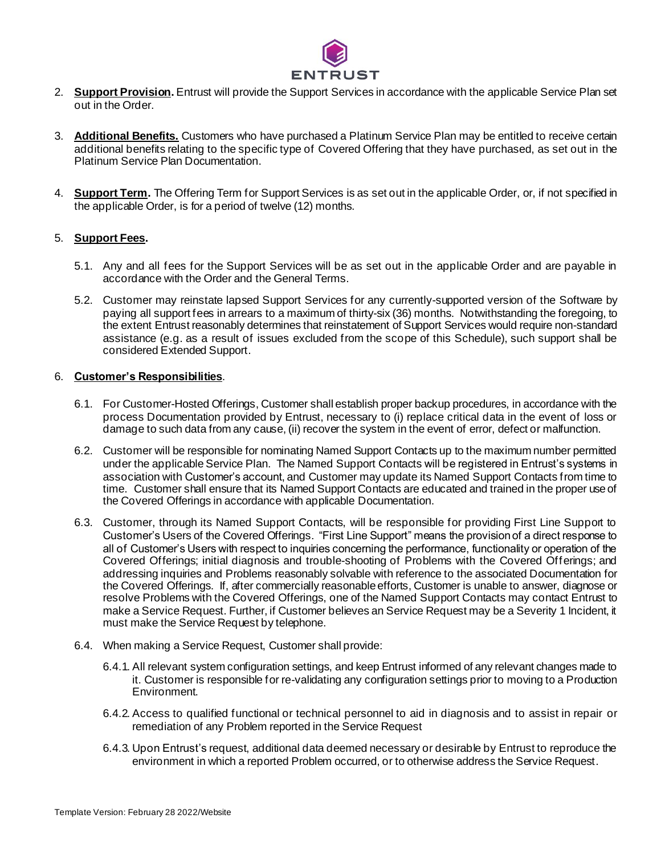

- 2. **Support Provision.** Entrust will provide the Support Services in accordance with the applicable Service Plan set out in the Order.
- 3. **Additional Benefits.** Customers who have purchased a Platinum Service Plan may be entitled to receive certain additional benefits relating to the specific type of Covered Offering that they have purchased, as set out in the Platinum Service Plan Documentation.
- 4. **Support Term.** The Offering Term for Support Services is as set out in the applicable Order, or, if not specified in the applicable Order, is for a period of twelve (12) months.

## 5. **Support Fees.**

- 5.1. Any and all fees for the Support Services will be as set out in the applicable Order and are payable in accordance with the Order and the General Terms.
- 5.2. Customer may reinstate lapsed Support Services for any currently-supported version of the Software by paying all support fees in arrears to a maximum of thirty-six (36) months. Notwithstanding the foregoing, to the extent Entrust reasonably determines that reinstatement of Support Services would require non-standard assistance (e.g. as a result of issues excluded from the scope of this Schedule), such support shall be considered Extended Support.

## 6. **Customer's Responsibilities**.

- 6.1. For Customer-Hosted Offerings, Customer shall establish proper backup procedures, in accordance with the process Documentation provided by Entrust, necessary to (i) replace critical data in the event of loss or damage to such data from any cause, (ii) recover the system in the event of error, defect or malfunction.
- 6.2. Customer will be responsible for nominating Named Support Contacts up to the maximum number permitted under the applicable Service Plan. The Named Support Contacts will be registered in Entrust's systems in association with Customer's account, and Customer may update its Named Support Contacts from time to time. Customer shall ensure that its Named Support Contacts are educated and trained in the proper use of the Covered Offerings in accordance with applicable Documentation.
- 6.3. Customer, through its Named Support Contacts, will be responsible for providing First Line Support to Customer's Users of the Covered Offerings. "First Line Support" means the provision of a direct response to all of Customer's Users with respect to inquiries concerning the performance, functionality or operation of the Covered Offerings; initial diagnosis and trouble-shooting of Problems with the Covered Offerings; and addressing inquiries and Problems reasonably solvable with reference to the associated Documentation for the Covered Offerings. If, after commercially reasonable efforts, Customer is unable to answer, diagnose or resolve Problems with the Covered Offerings, one of the Named Support Contacts may contact Entrust to make a Service Request. Further, if Customer believes an Service Request may be a Severity 1 Incident, it must make the Service Request by telephone.
- 6.4. When making a Service Request, Customer shall provide:
	- 6.4.1. All relevant system configuration settings, and keep Entrust informed of any relevant changes made to it. Customer is responsible for re-validating any configuration settings prior to moving to a Production Environment.
	- 6.4.2. Access to qualified functional or technical personnel to aid in diagnosis and to assist in repair or remediation of any Problem reported in the Service Request
	- 6.4.3. Upon Entrust's request, additional data deemed necessary or desirable by Entrust to reproduce the environment in which a reported Problem occurred, or to otherwise address the Service Request.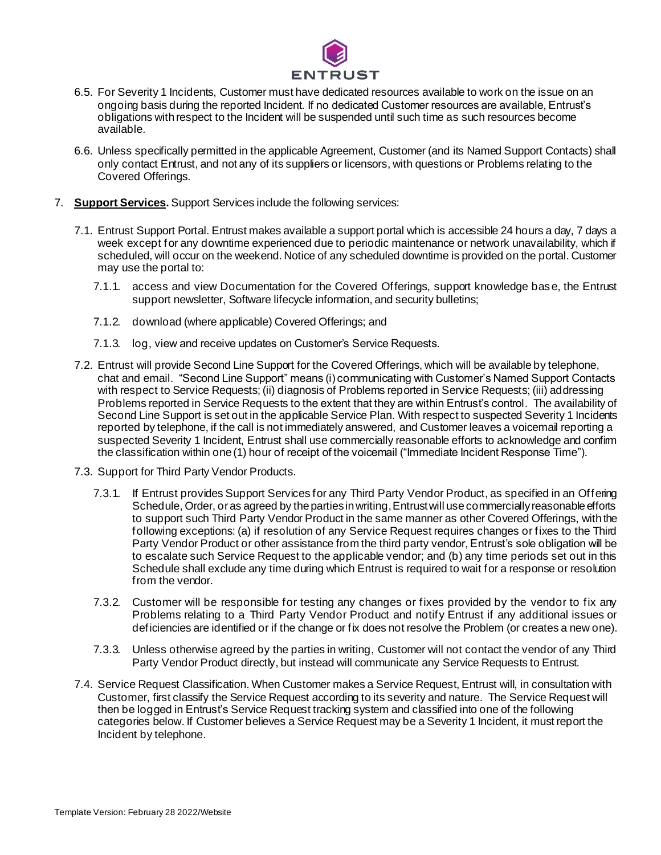

- 6.5. For Severity 1 Incidents, Customer must have dedicated resources available to work on the issue on an ongoing basis during the reported Incident. If no dedicated Customer resources are available, Entrust's obligations with respect to the Incident will be suspended until such time as such resources become available.
- 6.6. Unless specifically permitted in the applicable Agreement, Customer (and its Named Support Contacts) shall only contact Entrust, and not any of its suppliers or licensors, with questions or Problems relating to the Covered Offerings.
- 7. **Support Services.** Support Services include the following services:
	- 7.1. Entrust Support Portal. Entrust makes available a support portal which is accessible 24 hours a day, 7 days a week except for any downtime experienced due to periodic maintenance or network unavailability, which if scheduled, will occur on the weekend. Notice of any scheduled downtime is provided on the portal. Customer may use the portal to:
		- 7.1.1. access and view Documentation for the Covered Offerings, support knowledge base, the Entrust support newsletter, Software lifecycle information, and security bulletins;
		- 7.1.2. download (where applicable) Covered Offerings; and
		- 7.1.3. log, view and receive updates on Customer's Service Requests.
	- 7.2. Entrust will provide Second Line Support for the Covered Offerings, which will be available by telephone, chat and email. "Second Line Support" means (i) communicating with Customer's Named Support Contacts with respect to Service Requests; (ii) diagnosis of Problems reported in Service Requests; (iii) addressing Problems reported in Service Requests to the extent that they are within Entrust's control. The availability of Second Line Support is set out in the applicable Service Plan. With respect to suspected Severity 1 Incidents reported by telephone, if the call is not immediately answered, and Customer leaves a voicemail reporting a suspected Severity 1 Incident, Entrust shall use commercially reasonable efforts to acknowledge and confirm the classification within one (1) hour of receipt of the voicemail ("Immediate Incident Response Time").
	- 7.3. Support for Third Party Vendor Products.
		- 7.3.1. If Entrust provides Support Services for any Third Party Vendor Product, as specified in an Offering Schedule, Order, or as agreed by the parties in writing, Entrust will use commercially reasonable efforts to support such Third Party Vendor Product in the same manner as other Covered Offerings, with the following exceptions: (a) if resolution of any Service Request requires changes or fixes to the Third Party Vendor Product or other assistance from the third party vendor, Entrust's sole obligation will be to escalate such Service Request to the applicable vendor; and (b) any time periods set out in this Schedule shall exclude any time during which Entrust is required to wait for a response or resolution from the vendor.
		- 7.3.2. Customer will be responsible for testing any changes or fixes provided by the vendor to fix any Problems relating to a Third Party Vendor Product and notify Entrust if any additional issues or deficiencies are identified or if the change or fix does not resolve the Problem (or creates a new one).
		- 7.3.3. Unless otherwise agreed by the parties in writing, Customer will not contact the vendor of any Third Party Vendor Product directly, but instead will communicate any Service Requests to Entrust.
	- 7.4. Service Request Classification. When Customer makes a Service Request, Entrust will, in consultation with Customer, first classify the Service Request according to its severity and nature. The Service Request will then be logged in Entrust's Service Request tracking system and classified into one of the following categories below. If Customer believes a Service Request may be a Severity 1 Incident, it must report the Incident by telephone.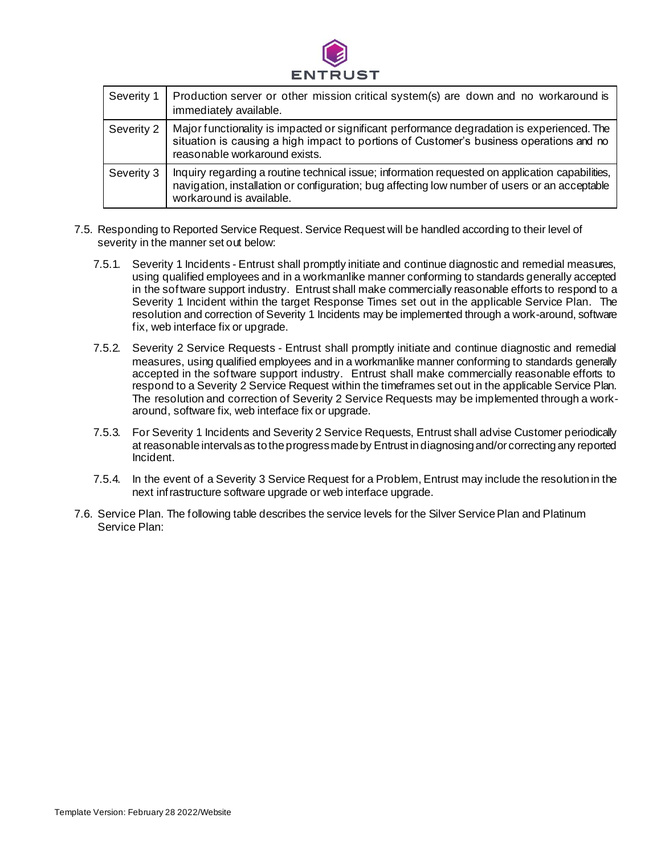

| Severity 1 | Production server or other mission critical system(s) are down and no workaround is<br>immediately available.                                                                                                                |
|------------|------------------------------------------------------------------------------------------------------------------------------------------------------------------------------------------------------------------------------|
| Severity 2 | Major functionality is impacted or significant performance degradation is experienced. The<br>situation is causing a high impact to portions of Customer's business operations and no<br>reasonable workaround exists.       |
| Severity 3 | Inquiry regarding a routine technical issue; information requested on application capabilities,<br>navigation, installation or configuration; bug affecting low number of users or an acceptable<br>workaround is available. |

- 7.5. Responding to Reported Service Request. Service Request will be handled according to their level of severity in the manner set out below:
	- 7.5.1. Severity 1 Incidents Entrust shall promptly initiate and continue diagnostic and remedial measures, using qualified employees and in a workmanlike manner conforming to standards generally accepted in the software support industry. Entrust shall make commercially reasonable efforts to respond to a Severity 1 Incident within the target Response Times set out in the applicable Service Plan. The resolution and correction of Severity 1 Incidents may be implemented through a work-around, software fix, web interface fix or upgrade.
	- 7.5.2. Severity 2 Service Requests Entrust shall promptly initiate and continue diagnostic and remedial measures, using qualified employees and in a workmanlike manner conforming to standards generally accepted in the software support industry. Entrust shall make commercially reasonable efforts to respond to a Severity 2 Service Request within the timeframes set out in the applicable Service Plan. The resolution and correction of Severity 2 Service Requests may be implemented through a workaround, software fix, web interface fix or upgrade.
	- 7.5.3. For Severity 1 Incidents and Severity 2 Service Requests, Entrust shall advise Customer periodically at reasonable intervals as to the progress made by Entrust in diagnosing and/or correcting any reported Incident.
	- 7.5.4. In the event of a Severity 3 Service Request for a Problem, Entrust may include the resolution in the next infrastructure software upgrade or web interface upgrade.
- 7.6. Service Plan. The following table describes the service levels for the Silver Service Plan and Platinum Service Plan: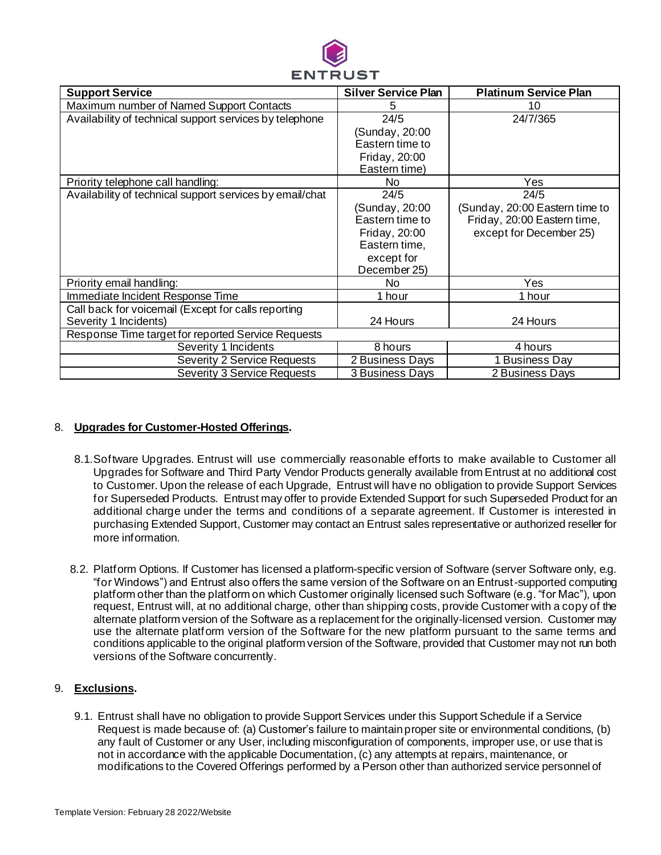

| <b>Support Service</b>                                   | <b>Silver Service Plan</b> | <b>Platinum Service Plan</b>   |  |
|----------------------------------------------------------|----------------------------|--------------------------------|--|
| Maximum number of Named Support Contacts                 | 5                          | 10                             |  |
| Availability of technical support services by telephone  | 24/5                       | 24/7/365                       |  |
|                                                          | (Sunday, 20:00             |                                |  |
|                                                          | Eastern time to            |                                |  |
|                                                          | Friday, 20:00              |                                |  |
|                                                          | Eastern time)              |                                |  |
| Priority telephone call handling:                        | No                         | Yes                            |  |
| Availability of technical support services by email/chat | 24/5                       | 24/5                           |  |
|                                                          | (Sunday, 20:00             | (Sunday, 20:00 Eastern time to |  |
|                                                          | Eastern time to            | Friday, 20:00 Eastern time,    |  |
|                                                          | Friday, 20:00              | except for December 25)        |  |
|                                                          | Eastern time,              |                                |  |
|                                                          | except for                 |                                |  |
|                                                          | December 25)               |                                |  |
| Priority email handling:                                 | No.                        | Yes                            |  |
| Immediate Incident Response Time                         | 1 hour                     | 1 hour                         |  |
| Call back for voicemail (Except for calls reporting      |                            |                                |  |
| Severity 1 Incidents)                                    | 24 Hours                   | 24 Hours                       |  |
| Response Time target for reported Service Requests       |                            |                                |  |
| Severity 1 Incidents                                     | 8 hours                    | 4 hours                        |  |
| Severity 2 Service Requests                              | 2 Business Days            | 1 Business Day                 |  |
| Severity 3 Service Requests                              | 3 Business Days            | 2 Business Days                |  |

## 8. **Upgrades for Customer-Hosted Offerings.**

- 8.1.Software Upgrades. Entrust will use commercially reasonable efforts to make available to Customer all Upgrades for Software and Third Party Vendor Products generally available from Entrust at no additional cost to Customer. Upon the release of each Upgrade, Entrust will have no obligation to provide Support Services for Superseded Products. Entrust may offer to provide Extended Support for such Superseded Product for an additional charge under the terms and conditions of a separate agreement. If Customer is interested in purchasing Extended Support, Customer may contact an Entrust sales representative or authorized reseller for more information.
- 8.2. Platform Options. If Customer has licensed a platform-specific version of Software (server Software only, e.g. "for Windows") and Entrust also offers the same version of the Software on an Entrust-supported computing platform other than the platform on which Customer originally licensed such Software (e.g. "for Mac"), upon request, Entrust will, at no additional charge, other than shipping costs, provide Customer with a copy of the alternate platform version of the Software as a replacement for the originally-licensed version. Customer may use the alternate platform version of the Software for the new platform pursuant to the same terms and conditions applicable to the original platform version of the Software, provided that Customer may not run both versions of the Software concurrently.

## 9. **Exclusions.**

9.1. Entrust shall have no obligation to provide Support Services under this Support Schedule if a Service Request is made because of: (a) Customer's failure to maintain proper site or environmental conditions, (b) any fault of Customer or any User, including misconfiguration of components, improper use, or use that is not in accordance with the applicable Documentation, (c) any attempts at repairs, maintenance, or modifications to the Covered Offerings performed by a Person other than authorized service personnel of